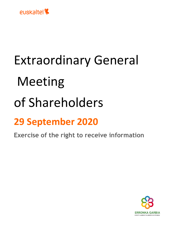

## Extraordinary General Meeting of Shareholders

## **29 September 2020**

**Exercise of the right to receive information**